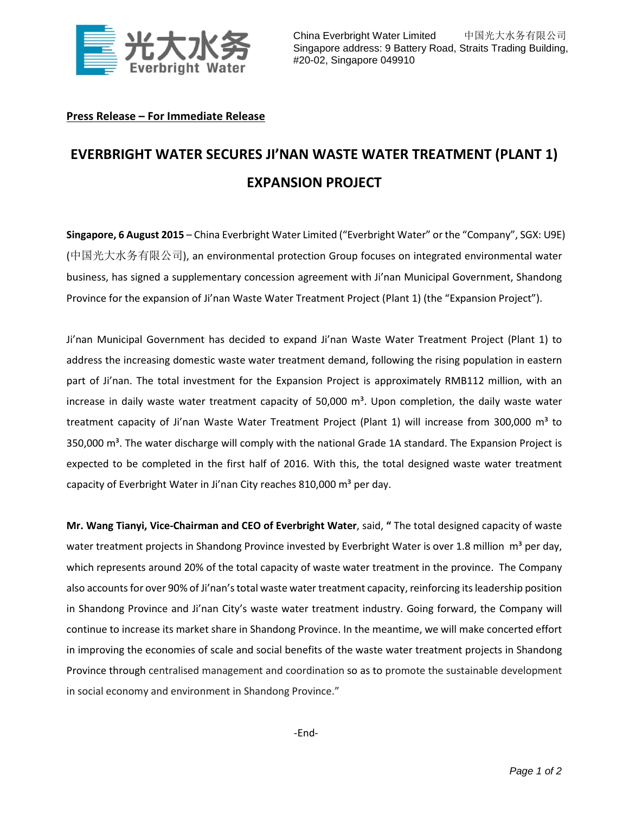

## **Press Release – For Immediate Release**

## **EVERBRIGHT WATER SECURES JI'NAN WASTE WATER TREATMENT (PLANT 1) EXPANSION PROJECT**

**Singapore, 6 August 2015** – China Everbright Water Limited ("Everbright Water" or the "Company", SGX: U9E) (中国光大水务有限公司), an environmental protection Group focuses on integrated environmental water business, has signed a supplementary concession agreement with Ji'nan Municipal Government, Shandong Province for the expansion of Ji'nan Waste Water Treatment Project (Plant 1) (the "Expansion Project").

Ji'nan Municipal Government has decided to expand Ji'nan Waste Water Treatment Project (Plant 1) to address the increasing domestic waste water treatment demand, following the rising population in eastern part of Ji'nan. The total investment for the Expansion Project is approximately RMB112 million, with an increase in daily waste water treatment capacity of 50,000  $m<sup>3</sup>$ . Upon completion, the daily waste water treatment capacity of Ji'nan Waste Water Treatment Project (Plant 1) will increase from 300,000 m<sup>3</sup> to 350,000  $\text{m}^3$ . The water discharge will comply with the national Grade 1A standard. The Expansion Project is expected to be completed in the first half of 2016. With this, the total designed waste water treatment capacity of Everbright Water in Ji'nan City reaches 810,000  $m<sup>3</sup>$  per day.

**Mr. Wang Tianyi, Vice-Chairman and CEO of Everbright Water**, said, **"** The total designed capacity of waste water treatment projects in Shandong Province invested by Everbright Water is over 1.8 million  $m^3$  per day, which represents around 20% of the total capacity of waste water treatment in the province. The Company also accounts for over 90% of Ji'nan's total waste water treatment capacity, reinforcing its leadership position in Shandong Province and Ji'nan City's waste water treatment industry. Going forward, the Company will continue to increase its market share in Shandong Province. In the meantime, we will make concerted effort in improving the economies of scale and social benefits of the waste water treatment projects in Shandong Province through centralised management and coordination so as to promote the sustainable development in social economy and environment in Shandong Province."